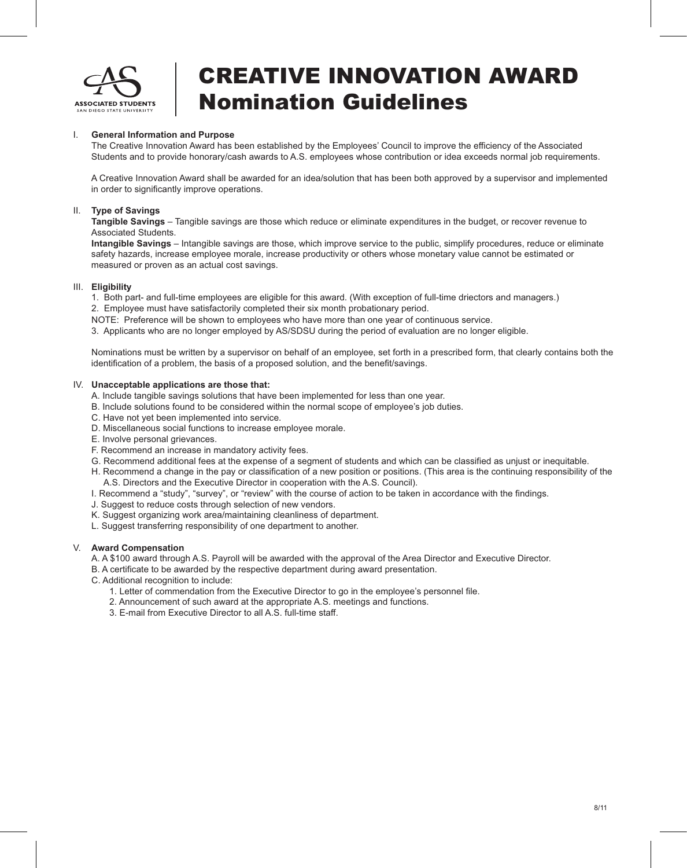

# CREATIVE INNOVATION AWARD Nomination Guidelines

### I. **General Information and Purpose**

The Creative Innovation Award has been established by the Employees' Council to improve the efficiency of the Associated Students and to provide honorary/cash awards to A.S. employees whose contribution or idea exceeds normal job requirements.

A Creative Innovation Award shall be awarded for an idea/solution that has been both approved by a supervisor and implemented in order to significantly improve operations.

#### II. **Type of Savings**

**Tangible Savings** – Tangible savings are those which reduce or eliminate expenditures in the budget, or recover revenue to Associated Students.

**Intangible Savings** – Intangible savings are those, which improve service to the public, simplify procedures, reduce or eliminate safety hazards, increase employee morale, increase productivity or others whose monetary value cannot be estimated or measured or proven as an actual cost savings.

#### III. **Eligibility**

- 1. Both part- and full-time employees are eligible for this award. (With exception of full-time driectors and managers.)
- 2. Employee must have satisfactorily completed their six month probationary period.

NOTE: Preference will be shown to employees who have more than one year of continuous service.

3. Applicants who are no longer employed by AS/SDSU during the period of evaluation are no longer eligible.

Nominations must be written by a supervisor on behalf of an employee, set forth in a prescribed form, that clearly contains both the identification of a problem, the basis of a proposed solution, and the benefit/savings.

#### IV. **Unacceptable applications are those that:**

- A. Include tangible savings solutions that have been implemented for less than one year.
- B. Include solutions found to be considered within the normal scope of employee's job duties.
- C. Have not yet been implemented into service.
- D. Miscellaneous social functions to increase employee morale.
- E. Involve personal grievances.
- F. Recommend an increase in mandatory activity fees.
- G. Recommend additional fees at the expense of a segment of students and which can be classified as unjust or inequitable.
- H. Recommend a change in the pay or classification of a new position or positions. (This area is the continuing responsibility of the A.S. Directors and the Executive Director in cooperation with the A.S. Council).
- I. Recommend a "study", "survey", or "review" with the course of action to be taken in accordance with the findings.
- J. Suggest to reduce costs through selection of new vendors.
- K. Suggest organizing work area/maintaining cleanliness of department.
- L. Suggest transferring responsibility of one department to another.

#### V. **Award Compensation**

A. A \$100 award through A.S. Payroll will be awarded with the approval of the Area Director and Executive Director.

B. A certificate to be awarded by the respective department during award presentation.

- C. Additional recognition to include:
	- 1. Letter of commendation from the Executive Director to go in the employee's personnel file.
	- 2. Announcement of such award at the appropriate A.S. meetings and functions.
	- 3. E-mail from Executive Director to all A.S. full-time staff.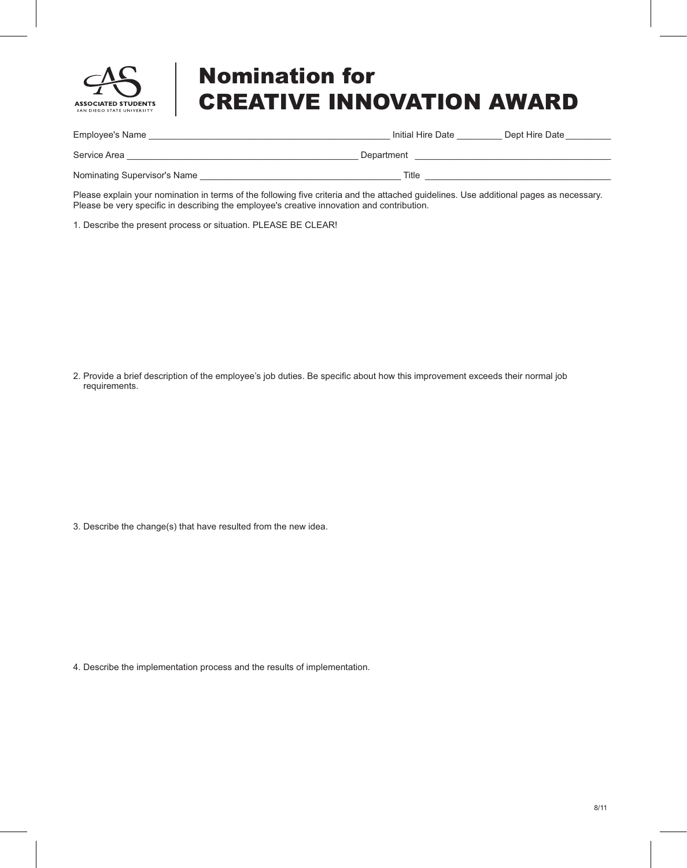

# Nomination for CREATIVE INNOVATION AWARD

| Employee's Name              | Initial Hire Date | Dept Hire Date |
|------------------------------|-------------------|----------------|
| Service Area                 | Department        |                |
| Nominating Supervisor's Name | Title             |                |

Please explain your nomination in terms of the following five criteria and the attached guidelines. Use additional pages as necessary. Please be very specific in describing the employee's creative innovation and contribution.

1. Describe the present process or situation. PLEASE BE CLEAR!

2. Provide a brief description of the employee's job duties. Be specific about how this improvement exceeds their normal job requirements.

3. Describe the change(s) that have resulted from the new idea.

4. Describe the implementation process and the results of implementation.